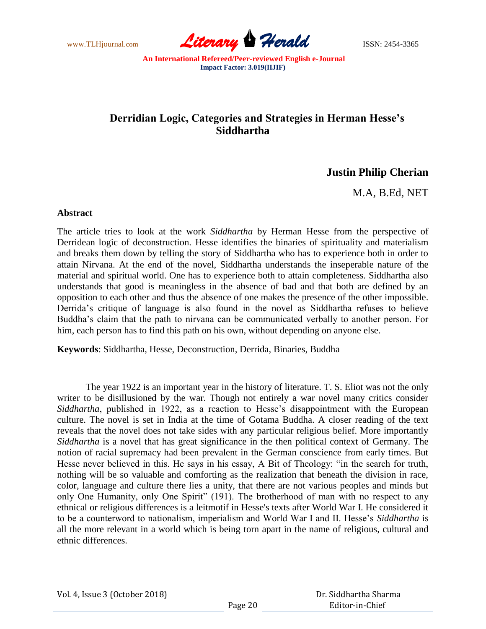

## **Derridian Logic, Categories and Strategies in Herman Hesse's Siddhartha**

## **Justin Philip Cherian**

M.A, B.Ed, NET

## **Abstract**

The article tries to look at the work *Siddhartha* by Herman Hesse from the perspective of Derridean logic of deconstruction. Hesse identifies the binaries of spirituality and materialism and breaks them down by telling the story of Siddhartha who has to experience both in order to attain Nirvana. At the end of the novel, Siddhartha understands the inseperable nature of the material and spiritual world. One has to experience both to attain completeness. Siddhartha also understands that good is meaningless in the absence of bad and that both are defined by an opposition to each other and thus the absence of one makes the presence of the other impossible. Derrida"s critique of language is also found in the novel as Siddhartha refuses to believe Buddha"s claim that the path to nirvana can be communicated verbally to another person. For him, each person has to find this path on his own, without depending on anyone else.

**Keywords**: Siddhartha, Hesse, Deconstruction, Derrida, Binaries, Buddha

The year 1922 is an important year in the history of literature. T. S. Eliot was not the only writer to be disillusioned by the war. Though not entirely a war novel many critics consider *Siddhartha*, published in 1922, as a reaction to Hesse's disappointment with the European culture. The novel is set in India at the time of Gotama Buddha. A closer reading of the text reveals that the novel does not take sides with any particular religious belief. More importantly *Siddhartha* is a novel that has great significance in the then political context of Germany. The notion of racial supremacy had been prevalent in the German conscience from early times. But Hesse never believed in this. He says in his essay, A Bit of Theology: "in the search for truth, nothing will be so valuable and comforting as the realization that beneath the division in race, color, language and culture there lies a unity, that there are not various peoples and minds but only One Humanity, only One Spirit" (191). The brotherhood of man with no respect to any ethnical or religious differences is a leitmotif in Hesse's texts after World War I. He considered it to be a counterword to nationalism, imperialism and World War I and II. Hesse"s *Siddhartha* is all the more relevant in a world which is being torn apart in the name of religious, cultural and ethnic differences.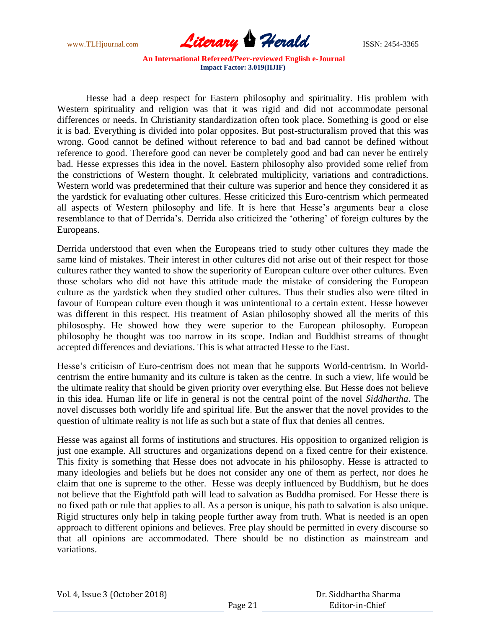

Hesse had a deep respect for Eastern philosophy and spirituality. His problem with Western spirituality and religion was that it was rigid and did not accommodate personal differences or needs. In Christianity standardization often took place. Something is good or else it is bad. Everything is divided into polar opposites. But post-structuralism proved that this was wrong. Good cannot be defined without reference to bad and bad cannot be defined without reference to good. Therefore good can never be completely good and bad can never be entirely bad. Hesse expresses this idea in the novel. Eastern philosophy also provided some relief from the constrictions of Western thought. It celebrated multiplicity, variations and contradictions. Western world was predetermined that their culture was superior and hence they considered it as the yardstick for evaluating other cultures. Hesse criticized this Euro-centrism which permeated all aspects of Western philosophy and life. It is here that Hesse"s arguments bear a close resemblance to that of Derrida's. Derrida also criticized the 'othering' of foreign cultures by the Europeans.

Derrida understood that even when the Europeans tried to study other cultures they made the same kind of mistakes. Their interest in other cultures did not arise out of their respect for those cultures rather they wanted to show the superiority of European culture over other cultures. Even those scholars who did not have this attitude made the mistake of considering the European culture as the yardstick when they studied other cultures. Thus their studies also were tilted in favour of European culture even though it was unintentional to a certain extent. Hesse however was different in this respect. His treatment of Asian philosophy showed all the merits of this philososphy. He showed how they were superior to the European philosophy. European philosophy he thought was too narrow in its scope. Indian and Buddhist streams of thought accepted differences and deviations. This is what attracted Hesse to the East.

Hesse's criticism of Euro-centrism does not mean that he supports World-centrism. In Worldcentrism the entire humanity and its culture is taken as the centre. In such a view, life would be the ultimate reality that should be given priority over everything else. But Hesse does not believe in this idea. Human life or life in general is not the central point of the novel *Siddhartha*. The novel discusses both worldly life and spiritual life. But the answer that the novel provides to the question of ultimate reality is not life as such but a state of flux that denies all centres.

Hesse was against all forms of institutions and structures. His opposition to organized religion is just one example. All structures and organizations depend on a fixed centre for their existence. This fixity is something that Hesse does not advocate in his philosophy. Hesse is attracted to many ideologies and beliefs but he does not consider any one of them as perfect, nor does he claim that one is supreme to the other. Hesse was deeply influenced by Buddhism, but he does not believe that the Eightfold path will lead to salvation as Buddha promised. For Hesse there is no fixed path or rule that applies to all. As a person is unique, his path to salvation is also unique. Rigid structures only help in taking people further away from truth. What is needed is an open approach to different opinions and believes. Free play should be permitted in every discourse so that all opinions are accommodated. There should be no distinction as mainstream and variations.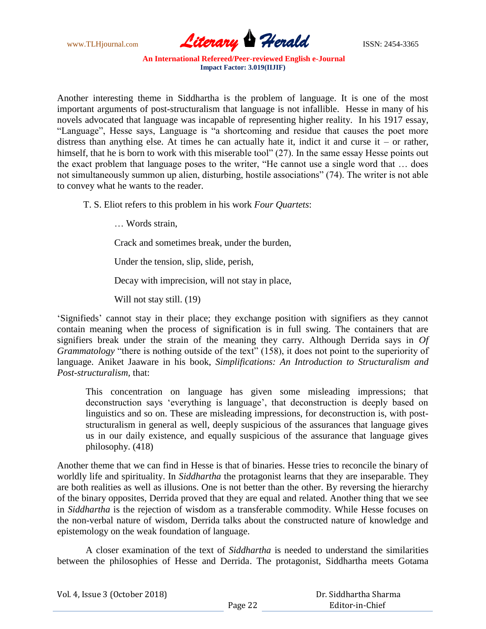

Another interesting theme in Siddhartha is the problem of language. It is one of the most important arguments of post-structuralism that language is not infallible. Hesse in many of his novels advocated that language was incapable of representing higher reality. In his 1917 essay, "Language", Hesse says, Language is "a shortcoming and residue that causes the poet more distress than anything else. At times he can actually hate it, indict it and curse it – or rather, himself, that he is born to work with this miserable tool" (27). In the same essay Hesse points out the exact problem that language poses to the writer, "He cannot use a single word that … does not simultaneously summon up alien, disturbing, hostile associations" (74). The writer is not able to convey what he wants to the reader.

T. S. Eliot refers to this problem in his work *Four Quartets*:

… Words strain,

Crack and sometimes break, under the burden,

Under the tension, slip, slide, perish,

Decay with imprecision, will not stay in place,

Will not stay still. (19)

"Signifieds" cannot stay in their place; they exchange position with signifiers as they cannot contain meaning when the process of signification is in full swing. The containers that are signifiers break under the strain of the meaning they carry. Although Derrida says in *Of Grammatology* "there is nothing outside of the text" (158), it does not point to the superiority of language. Aniket Jaaware in his book, *Simplifications: An Introduction to Structuralism and Post-structuralism,* that:

 This concentration on language has given some misleading impressions; that deconstruction says "everything is language", that deconstruction is deeply based on linguistics and so on. These are misleading impressions, for deconstruction is, with poststructuralism in general as well, deeply suspicious of the assurances that language gives us in our daily existence, and equally suspicious of the assurance that language gives philosophy. (418)

Another theme that we can find in Hesse is that of binaries. Hesse tries to reconcile the binary of worldly life and spirituality. In *Siddhartha* the protagonist learns that they are inseparable. They are both realities as well as illusions. One is not better than the other. By reversing the hierarchy of the binary opposites, Derrida proved that they are equal and related. Another thing that we see in *Siddhartha* is the rejection of wisdom as a transferable commodity. While Hesse focuses on the non-verbal nature of wisdom, Derrida talks about the constructed nature of knowledge and epistemology on the weak foundation of language.

A closer examination of the text of *Siddhartha* is needed to understand the similarities between the philosophies of Hesse and Derrida. The protagonist, Siddhartha meets Gotama

| Vol. 4, Issue 3 (October 2018) |         | Dr. Siddhartha Sharma |
|--------------------------------|---------|-----------------------|
|                                | Page 22 | Editor-in-Chief       |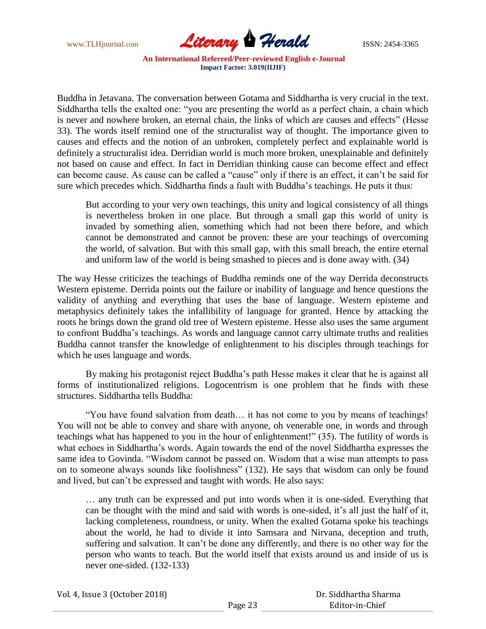

Buddha in Jetavana. The conversation between Gotama and Siddhartha is very crucial in the text. Siddhartha tells the exalted one: "you are presenting the world as a perfect chain, a chain which is never and nowhere broken, an eternal chain, the links of which are causes and effects" (Hesse 33). The words itself remind one of the structuralist way of thought. The importance given to causes and effects and the notion of an unbroken, completely perfect and explainable world is definitely a structuralist idea. Derridian world is much more broken, unexplainable and definitely not based on cause and effect. In fact in Derridian thinking cause can become effect and effect can become cause. As cause can be called a "cause" only if there is an effect, it can"t be said for sure which precedes which. Siddhartha finds a fault with Buddha"s teachings. He puts it thus:

 But according to your very own teachings, this unity and logical consistency of all things is nevertheless broken in one place. But through a small gap this world of unity is invaded by something alien, something which had not been there before, and which cannot be demonstrated and cannot be proven: these are your teachings of overcoming the world, of salvation. But with this small gap, with this small breach, the entire eternal and uniform law of the world is being smashed to pieces and is done away with. (34)

The way Hesse criticizes the teachings of Buddha reminds one of the way Derrida deconstructs Western episteme. Derrida points out the failure or inability of language and hence questions the validity of anything and everything that uses the base of language. Western episteme and metaphysics definitely takes the infallibility of language for granted. Hence by attacking the roots he brings down the grand old tree of Western episteme. Hesse also uses the same argument to confront Buddha"s teachings. As words and language cannot carry ultimate truths and realities Buddha cannot transfer the knowledge of enlightenment to his disciples through teachings for which he uses language and words.

By making his protagonist reject Buddha"s path Hesse makes it clear that he is against all forms of institutionalized religions. Logocentrism is one problem that he finds with these structures. Siddhartha tells Buddha:

"You have found salvation from death… it has not come to you by means of teachings! You will not be able to convey and share with anyone, oh venerable one, in words and through teachings what has happened to you in the hour of enlightenment!" (35). The futility of words is what echoes in Siddhartha's words. Again towards the end of the novel Siddhartha expresses the same idea to Govinda. "Wisdom cannot be passed on. Wisdom that a wise man attempts to pass on to someone always sounds like foolishness" (132). He says that wisdom can only be found and lived, but can"t be expressed and taught with words. He also says:

 … any truth can be expressed and put into words when it is one-sided. Everything that can be thought with the mind and said with words is one-sided, it"s all just the half of it, lacking completeness, roundness, or unity. When the exalted Gotama spoke his teachings about the world, he had to divide it into Samsara and Nirvana, deception and truth, suffering and salvation. It can't be done any differently, and there is no other way for the person who wants to teach. But the world itself that exists around us and inside of us is never one-sided. (132-133)

| Vol. 4, Issue 3 (October 2018) |  |  |
|--------------------------------|--|--|
|--------------------------------|--|--|